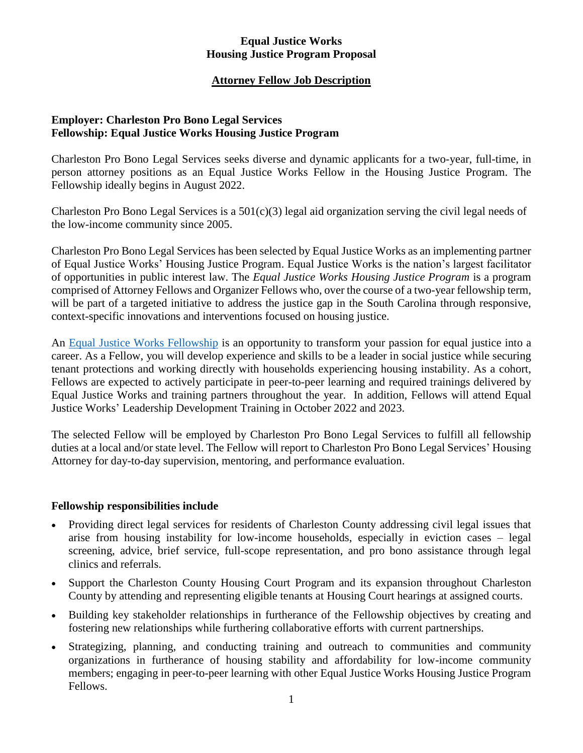#### **Equal Justice Works Housing Justice Program Proposal**

# **Attorney Fellow Job Description**

### **Employer: Charleston Pro Bono Legal Services Fellowship: Equal Justice Works Housing Justice Program**

Charleston Pro Bono Legal Services seeks diverse and dynamic applicants for a two-year, full-time, in person attorney positions as an Equal Justice Works Fellow in the Housing Justice Program. The Fellowship ideally begins in August 2022.

Charleston Pro Bono Legal Services is a  $501(c)(3)$  legal aid organization serving the civil legal needs of the low-income community since 2005.

Charleston Pro Bono Legal Services has been selected by Equal Justice Works as an implementing partner of Equal Justice Works' Housing Justice Program. Equal Justice Works is the nation's largest facilitator of opportunities in public interest law. The *Equal Justice Works Housing Justice Program* is a program comprised of Attorney Fellows and Organizer Fellows who, over the course of a two-year fellowship term, will be part of a targeted initiative to address the justice gap in the South Carolina through responsive, context-specific innovations and interventions focused on housing justice.

An [Equal Justice Works Fellowship](https://www.equaljusticeworks.org/become-a-fellow/) is an opportunity to transform your passion for equal justice into a career. As a Fellow, you will develop experience and skills to be a leader in social justice while securing tenant protections and working directly with households experiencing housing instability. As a cohort, Fellows are expected to actively participate in peer-to-peer learning and required trainings delivered by Equal Justice Works and training partners throughout the year. In addition, Fellows will attend Equal Justice Works' Leadership Development Training in October 2022 and 2023.

The selected Fellow will be employed by Charleston Pro Bono Legal Services to fulfill all fellowship duties at a local and/or state level. The Fellow will report to Charleston Pro Bono Legal Services' Housing Attorney for day-to-day supervision, mentoring, and performance evaluation.

### **Fellowship responsibilities include**

- Providing direct legal services for residents of Charleston County addressing civil legal issues that arise from housing instability for low-income households, especially in eviction cases – legal screening, advice, brief service, full-scope representation, and pro bono assistance through legal clinics and referrals.
- Support the Charleston County Housing Court Program and its expansion throughout Charleston County by attending and representing eligible tenants at Housing Court hearings at assigned courts.
- Building key stakeholder relationships in furtherance of the Fellowship objectives by creating and fostering new relationships while furthering collaborative efforts with current partnerships.
- Strategizing, planning, and conducting training and outreach to communities and community organizations in furtherance of housing stability and affordability for low-income community members; engaging in peer-to-peer learning with other Equal Justice Works Housing Justice Program Fellows.